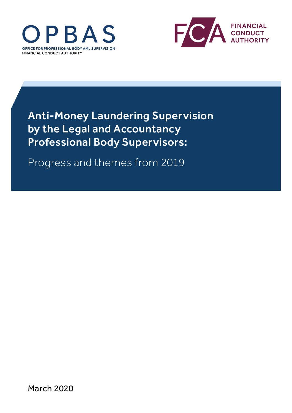



Anti-Money Laundering Supervision by the Legal and Accountancy Professional Body Supervisors:

Progress and themes from 2019

March 2020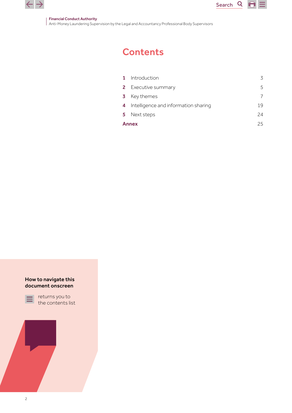

#### Financial Conduct Authority

Anti-Money Laundering Supervision by the Legal and Accountancy Professional Body Supervisors

# **Contents**

| $\mathbf{1}$ | Introduction                         | 3  |
|--------------|--------------------------------------|----|
|              | <b>2</b> Executive summary           | 5  |
| -3           | Key themes                           |    |
| 4            | Intelligence and information sharing | 19 |
|              | 5 Next steps                         | 24 |
| <b>Annex</b> |                                      | 25 |

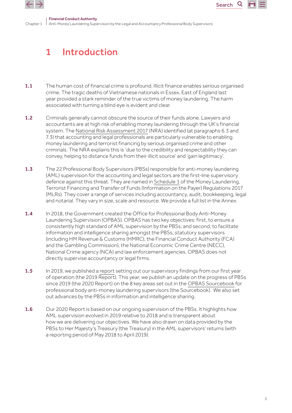<span id="page-2-0"></span>

# 1 Introduction

- 1.1 The human cost of financial crime is profound. Illicit finance enables serious organised crime. The tragic deaths of Vietnamese nationals in Essex, East of England last year provided a stark reminder of the true victims of money laundering. The harm associated with turning a blind eye is evident and clear.
- 1.2 Criminals generally cannot obscure the source of their funds alone. Lawyers and accountants are at high risk of enabling money laundering through the UK's financial system. The [National Risk Assessment 2017](https://assets.publishing.service.gov.uk/government/uploads/system/uploads/attachment_data/file/655198/National_risk_assessment_of_money_laundering_and_terrorist_financing_2017_pdf_web.pdf) (NRA) identified (at paragraphs 6.3 and 7.3) that accounting and legal professionals are particularly vulnerable to enabling money laundering and terrorist financing by serious organised crime and other criminals. The NRA explains this is 'due to the credibility and respectability they can convey, helping to distance funds from their illicit source' and 'gain legitimacy'.
- 1.3 The 22 Professional Body Supervisors (PBSs) responsible for anti-money laundering (AML) supervision for the accounting and legal sectors are the first-line supervisory defence against this threat. They are named in [Schedule 1](http://www.legislation.gov.uk/uksi/2017/692/pdfs/uksi_20170692_en.pdf#page=96) of the Money Laundering, Terrorist Financing and Transfer of Funds (Information on the Payer) Regulations 2017 (MLRs). They cover a range of services including accountancy, audit, bookkeeping, legal and notarial. They vary in size, scale and resource. We provide a full list in the Annex.
- 1.4 In 2018, the Government created the Office for Professional Body Anti-Money Laundering Supervision (OPBAS). OPBAS has two key objectives: first, to ensure a consistently high standard of AML supervision by the PBSs; and second, to facilitate information and intelligence sharing amongst the PBSs, statutory supervisors (including HM Revenue & Customs (HMRC), the Financial Conduct Authority (FCA) and the Gambling Commission), the National Economic Crime Centre (NECC), National Crime agency (NCA) and law enforcement agencies. OPBAS does not directly supervise accountancy or legal firms.
- 1.5 In 2019, we published a [report](https://www.fca.org.uk/publication/opbas/themes-2018-opbas-anti-money-laundering-supervisory-assessments.pdf) setting out our supervisory findings from our first year of operation (the 2019 Report). This year, we publish an update on the progress of PBSs since 2019 (the 2020 Report) on the 8 key areas set out in the [OPBAS Sourcebook](https://fca.org.uk/publication/opbas/opbas-sourcebook.pdf) for professional body anti-money laundering supervisors (the Sourcebook). We also set out advances by the PBSs in information and intelligence sharing.
- 1.6 Our 2020 Report is based on our ongoing supervision of the PBSs. It highlights how AML supervision evolved in 2019 relative to 2018 and is transparent about how we are delivering our objectives. We have also drawn on data provided by the PBSs to Her Majesty's Treasury (the Treasury) in the AML supervisors' returns (with a reporting period of May 2018 to April 2019).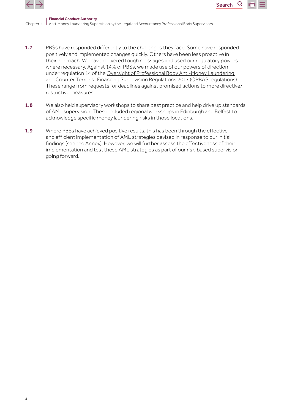



Q

- 1.7 PBSs have responded differently to the challenges they face. Some have responded positively and implemented changes quickly. Others have been less proactive in their approach. We have delivered tough messages and used our regulatory powers where necessary. Against 14% of PBSs, we made use of our powers of direction under regulation 14 of the [Oversight of Professional Body Anti-Money Laundering](http://www.legislation.gov.uk/uksi/2017/1301/contents/made)  [and Counter Terrorist Financing Supervision Regulations 2017](http://www.legislation.gov.uk/uksi/2017/1301/contents/made) (OPBAS regulations). These range from requests for deadlines against promised actions to more directive/ restrictive measures.
- 1.8 We also held supervisory workshops to share best practice and help drive up standards of AML supervision. These included regional workshops in Edinburgh and Belfast to acknowledge specific money laundering risks in those locations.
- 1.9 Where PBSs have achieved positive results, this has been through the effective and efficient implementation of AML strategies devised in response to our initial findings (see the Annex). However, we will further assess the effectiveness of their implementation and test these AML strategies as part of our risk-based supervision going forward.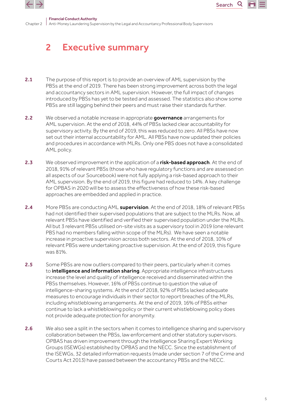<span id="page-4-0"></span>



# 2 Executive summary

- 2.1 The purpose of this report is to provide an overview of AML supervision by the PBSs at the end of 2019. There has been strong improvement across both the legal and accountancy sectors in AML supervision. However, the full impact of changes introduced by PBSs has yet to be tested and assessed. The statistics also show some PBSs are still lagging behind their peers and must raise their standards further.
- 2.2 We observed a notable increase in appropriate governance arrangements for AML supervision. At the end of 2018, 44% of PBSs lacked clear accountability for supervisory activity. By the end of 2019, this was reduced to zero. All PBSs have now set out their internal accountability for AML. All PBSs have now updated their policies and procedures in accordance with MLRs. Only one PBS does not have a consolidated AML policy.
- 2.3 We observed improvement in the application of a risk-based approach. At the end of 2018, 91% of relevant PBSs (those who have regulatory functions and are assessed on all aspects of our Sourcebook) were not fully applying a risk-based approach to their AML supervision. By the end of 2019, this figure had reduced to 14%. A key challenge for OPBAS in 2020 will be to assess the effectiveness of how these risk-based approaches are embedded and applied in practice.
- 2.4 More PBSs are conducting AML supervision. At the end of 2018, 18% of relevant PBSs had not identified their supervised populations that are subject to the MLRs. Now, all relevant PBSs have identified and verified their supervised population under the MLRs. All but 3 relevant PBSs utilised on-site visits as a supervisory tool in 2019 (one relevant PBS had no members falling within scope of the MLRs). We have seen a notable increase in proactive supervision across both sectors. At the end of 2018, 10% of relevant PBSs were undertaking proactive supervision. At the end of 2019, this figure was 81%.
- 2.5 Some PBSs are now outliers compared to their peers, particularly when it comes to **intelligence and information sharing**. Appropriate intelligence infrastructures increase the level and quality of intelligence received and disseminated within the PBSs themselves. However, 16% of PBSs continue to question the value of intelligence-sharing systems. At the end of 2018, 92% of PBSs lacked adequate measures to encourage individuals in their sector to report breaches of the MLRs, including whistleblowing arrangements. At the end of 2019, 16% of PBSs either continue to lack a whistleblowing policy or their current whistleblowing policy does not provide adequate protection for anonymity.
- 2.6 We also see a split in the sectors when it comes to intelligence sharing and supervisory collaboration between the PBSs, law enforcement and other statutory supervisors. OPBAS has driven improvement through the Intelligence Sharing Expert Working Groups (ISEWGs) established by OPBAS and the NECC. Since the establishment of the ISEWGs, 32 detailed information requests (made under section 7 of the Crime and Courts Act 2013) have passed between the accountancy PBSs and the NECC.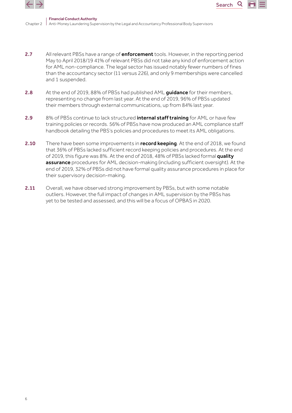



Q

- 2.7 All relevant PBSs have a range of **enforcement** tools. However, in the reporting period May to April 2018/19 41% of relevant PBSs did not take any kind of enforcement action for AML non-compliance. The legal sector has issued notably fewer numbers of fines than the accountancy sector (11 versus 226), and only 9 memberships were cancelled and 1 suspended.
- 2.8 At the end of 2019, 88% of PBSs had published AML quidance for their members, representing no change from last year. At the end of 2019, 96% of PBSs updated their members through external communications, up from 84% last year.
- 2.9 8% of PBSs continue to lack structured *internal staff training* for AML or have few training policies or records. 56% of PBSs have now produced an AML compliance staff handbook detailing the PBS's policies and procedures to meet its AML obligations.
- 2.10 There have been some improvements in record keeping. At the end of 2018, we found that 36% of PBSs lacked sufficient record keeping policies and procedures. At the end of 2019, this figure was 8%. At the end of 2018, 48% of PBSs lacked formal quality **assurance** procedures for AML decision-making (including sufficient oversight). At the end of 2019, 32% of PBSs did not have formal quality assurance procedures in place for their supervisory decision-making.
- 2.11 Overall, we have observed strong improvement by PBSs, but with some notable outliers. However, the full impact of changes in AML supervision by the PBSs has yet to be tested and assessed, and this will be a focus of OPBAS in 2020.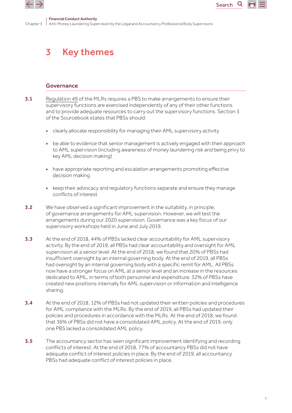<span id="page-6-0"></span>

Chapter 3 Anti-Money Laundering Supervision by the Legal and Accountancy Professional Body Supervisors

# 3 Key themes

#### Governance

- 3.1 [Regulation 49](http://www.legislation.gov.uk/uksi/2017/692/pdfs/uksi_20170692_en.pdf#page=56) of the MLRs reguires a PBS to make arrangements to ensure their supervisory functions are exercised independently of any of their other functions and to provide adequate resources to carry out the supervisory functions. Section 3 of the Sourcebook states that PBSs should:
	- clearly allocate responsibility for managing their AML supervisory activity
	- be able to evidence that senior management is actively engaged with their approach to AML supervision (including awareness of money laundering risk and being privy to key AML decision making)
	- have appropriate reporting and escalation arrangements promoting effective decision making
	- keep their advocacy and regulatory functions separate and ensure they manage conflicts of interest
- 3.2 We have observed a significant improvement in the suitability, in principle, of governance arrangements for AML supervision. However, we will test the arrangements during our 2020 supervision. Governance was a key focus of our supervisory workshops held in June and July 2019.
- 3.3 At the end of 2018, 44% of PBSs lacked clear accountability for AML supervisory activity. By the end of 2019, all PBSs had clear accountability and oversight for AML supervision at a senior level. At the end of 2018, we found that 20% of PBSs had insufficient oversight by an internal governing body. At the end of 2019, all PBSs had oversight by an internal governing body with a specific remit for AML. All PBSs now have a stronger focus on AML at a senior level and an increase in the resources dedicated to AML, in terms of both personnel and expenditure. 32% of PBSs have created new positions internally for AML supervision or information and intelligence sharing.
- 3.4 At the end of 2018, 12% of PBSs had not updated their written policies and procedures for AML compliance with the MLRs. By the end of 2019, all PBSs had updated their policies and procedures in accordance with the MLRs. At the end of 2018, we found that 36% of PBSs did not have a consolidated AML policy. At the end of 2019, only one PBS lacked a consolidated AML policy.
- 3.5 The accountancy sector has seen significant improvement identifying and recording conflicts of interest. At the end of 2018, 77% of accountancy PBSs did not have adequate conflict of interest policies in place. By the end of 2019, all accountancy PBSs had adequate conflict of interest policies in place.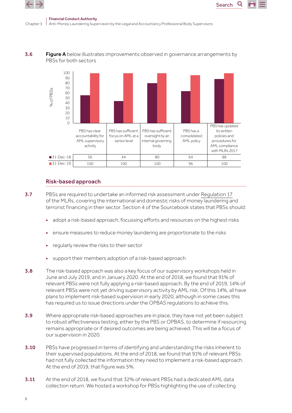

Chapter 3



Search





#### Risk-based approach

- **3.7** PBSs are required to undertake an informed risk assessment under [Regulation 17](http://www.legislation.gov.uk/uksi/2017/692/pdfs/uksi_20170692_en.pdf#page=21) of the MLRs, covering the international and domestic risks of money laundering and terrorist financing in their sector. Section 4 of the Sourcebook states that PBSs should:
	- adopt a risk-based approach, focussing efforts and resources on the highest risks
	- ensure measures to reduce money laundering are proportionate to the risks
	- regularly review the risks to their sector
	- support their members adoption of a risk-based approach
- 3.8 The risk-based approach was also a key focus of our supervisory workshops held in June and July 2019, and in January 2020. At the end of 2018, we found that 91% of relevant PBSs were not fully applying a risk-based approach. By the end of 2019, 14% of relevant PBSs were not yet driving supervisory activity by AML risk. Of this 14%, all have plans to implement risk-based supervision in early 2020, although in some cases this has required us to issue directions under the OPBAS regulations to achieve this.
- 3.9 Where appropriate risk-based approaches are in place, they have not yet been subject to robust effectiveness testing, either by the PBS or OPBAS, to determine if resourcing remains appropriate or if desired outcomes are being achieved. This will be a focus of our supervision in 2020.
- **3.10** PBSs have progressed in terms of identifying and understanding the risks inherent to their supervised populations. At the end of 2018, we found that 91% of relevant PBSs had not fully collected the information they need to implement a risk-based approach. At the end of 2019, that figure was 5%.
- 3.11 At the end of 2018, we found that 32% of relevant PBSs had a dedicated AML data collection return. We hosted a workshop for PBSs highlighting the use of collecting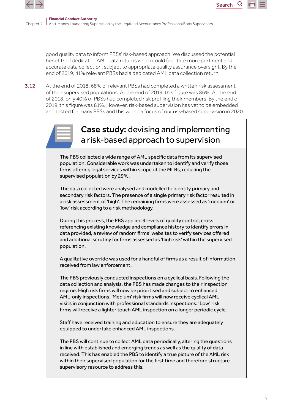

good quality data to inform PBSs' risk-based approach. We discussed the potential benefits of dedicated AML data returns which could facilitate more pertinent and accurate data collection, subject to appropriate quality assurance oversight. By the end of 2019, 41% relevant PBSs had a dedicated AML data collection return.

Search

3.12 At the end of 2018, 68% of relevant PBSs had completed a written risk assessment of their supervised populations. At the end of 2019, this figure was 86%. At the end of 2018, only 40% of PBSs had completed risk profiling their members. By the end of 2019, this figure was 81%. However, risk-based supervision has yet to be embedded and tested for many PBSs and this will be a focus of our risk-based supervision in 2020.



## Case study: devising and implementing a risk-based approach to supervision

The PBS collected a wide range of AML specific data from its supervised population. Considerable work was undertaken to identify and verify those firms offering legal services within scope of the MLRs, reducing the supervised population by 29%.

The data collected were analysed and modelled to identify primary and secondary risk factors. The presence of a single primary risk factor resulted in a risk assessment of 'high'. The remaining firms were assessed as 'medium' or 'low' risk according to a risk methodology.

During this process, the PBS applied 3 levels of quality control; cross referencing existing knowledge and compliance history to identify errors in data provided, a review of random firms' websites to verify services offered and additional scrutiny for firms assessed as 'high risk' within the supervised population.

A qualitative override was used for a handful of �rms as a result of information received from law enforcement.

The PBS previously conducted inspections on a cyclical basis. Following the data collection and analysis, the PBS has made changes to their inspection regime. High risk firms will now be prioritised and subject to enhanced AML-only inspections. 'Medium' risk firms will now receive cyclical AML visits in conjunction with professional standards inspections. 'Low' risk firms will receive a lighter touch AML inspection on a longer periodic cycle.

Staff have received training and education to ensure they are adequately equipped to undertake enhanced AML inspections.

The PBS will continue to collect AML data periodically, altering the questions in line with established and emerging trends as well as the quality of data received. This has enabled the PBS to identify a true picture of the AML risk within their supervised population for the first time and therefore structure supervisory resource to address this.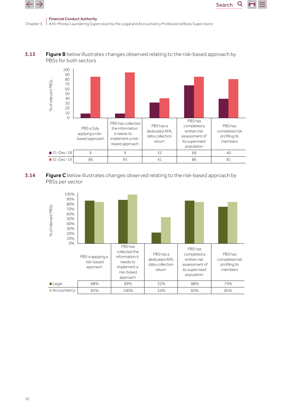





Search<sub>Q</sub>

m

**3.14** Figure C below illustrates changes observed relating to the risk-based approach by PBSs per sector

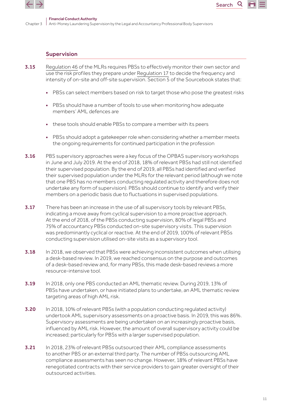

#### Supervision

- 3.15 [Regulation 46](http://www.legislation.gov.uk/uksi/2017/692/pdfs/uksi_20170692_en.pdf#page=53
) of the MLRs requires PBSs to effectively monitor their own sector and use the risk profiles they prepare under [Regulation 17](http://www.legislation.gov.uk/uksi/2017/692/pdfs/uksi_20170692_en.pdf#page=21) to decide the frequency and intensity of on-site and off-site supervision. Section 5 of the Sourcebook states that:
	- PBSs can select members based on risk to target those who pose the greatest risks

Search

- PBSs should have a number of tools to use when monitoring how adequate members' AML defences are
- these tools should enable PBSs to compare a member with its peers
- PBSs should adopt a gatekeeper role when considering whether a member meets the ongoing requirements for continued participation in the profession
- **3.16** PBS supervisory approaches were a key focus of the OPBAS supervisory workshops in June and July 2019. At the end of 2018, 18% of relevant PBSs had still not identified their supervised population. By the end of 2019, all PBSs had identified and verified their supervised population under the MLRs for the relevant period (although we note that one PBS has no members conducting regulated activity and therefore does not undertake any form of supervision). PBSs should continue to identify and verify their members on a periodic basis due to fluctuations in supervised populations.
- **3.17** There has been an increase in the use of all supervisory tools by relevant PBSs, indicating a move away from cyclical supervision to a more proactive approach. At the end of 2018, of the PBSs conducting supervision, 80% of legal PBSs and 75% of accountancy PBSs conducted on-site supervisory visits. This supervision was predominantly cyclical or reactive. At the end of 2019, 100% of relevant PBSs conducting supervision utilised on-site visits as a supervisory tool.
- 3.18 In 2018, we observed that PBSs were achieving inconsistent outcomes when utilising a desk-based review. In 2019, we reached consensus on the purpose and outcomes of a desk-based review and, for many PBSs, this made desk-based reviews a more resource-intensive tool.
- **3.19** In 2018, only one PBS conducted an AML thematic review. During 2019, 13% of PBSs have undertaken, or have initiated plans to undertake, an AML thematic review targeting areas of high AML risk.
- 3.20 In 2018, 10% of relevant PBSs (with a population conducting regulated activity) undertook AML supervisory assessments on a proactive basis. In 2019, this was 86%. Supervisory assessments are being undertaken on an increasingly proactive basis, influenced by AML risk. However, the amount of overall supervisory activity could be increased; particularly for PBSs with a larger supervised population.
- **3.21** In 2018, 23% of relevant PBSs outsourced their AML compliance assessments to another PBS or an external third party. The number of PBSs outsourcing AML compliance assessments has seen no change. However, 18% of relevant PBSs have renegotiated contracts with their service providers to gain greater oversight of their outsourced activities.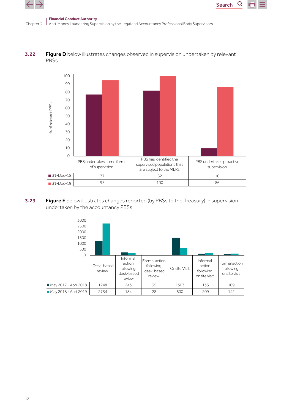

Q



**3.22** Figure D below illustrates changes observed in supervision undertaken by relevant PBSs



**3.23** Figure E below illustrates changes reported (by PBSs to the Treasury) in supervision undertaken by the accountancy PBSs

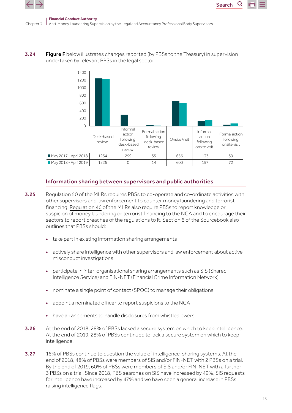





#### Information sharing between supervisors and public authorities

- **3.25** [Regulation 50](http://www.legislation.gov.uk/uksi/2017/692/pdfs/uksi_20170692_en.pdf#page=56) of the MLRs requires PBSs to co-operate and co-ordinate activities with other supervisors and law enforcement to counter money laundering and terrorist financing. [Regulation 46](http://www.legislation.gov.uk/uksi/2017/692/pdfs/uksi_20170692_en.pdf#page=53) of the MLRs also require PBSs to report knowledge or suspicion of money laundering or terrorist financing to the NCA and to encourage their sectors to report breaches of the regulations to it. Section 6 of the Sourcebook also outlines that PBSs should:
	- take part in existing information sharing arrangements
	- actively share intelligence with other supervisors and law enforcement about active misconduct investigations
	- participate in inter-organisational sharing arrangements such as SIS (Shared Intelligence Service) and FIN-NET (Financial Crime Information Network)
	- nominate a single point of contact (SPOC) to manage their obligations
	- appoint a nominated officer to report suspicions to the NCA
	- have arrangements to handle disclosures from whistleblowers
- **3.26** At the end of 2018, 28% of PBSs lacked a secure system on which to keep intelligence. At the end of 2019, 28% of PBSs continued to lack a secure system on which to keep intelligence.
- **3.27** 16% of PBSs continue to question the value of intelligence-sharing systems. At the end of 2018, 48% of PBSs were members of SIS and/or FIN-NET with 2 PBSs on a trial. By the end of 2019, 60% of PBSs were members of SIS and/or FIN-NET with a further 3 PBSs on a trial. Since 2018, PBS searches on SIS have increased by 49%, SIS requests for intelligence have increased by 47% and we have seen a general increase in PBSs raising intelligence flags.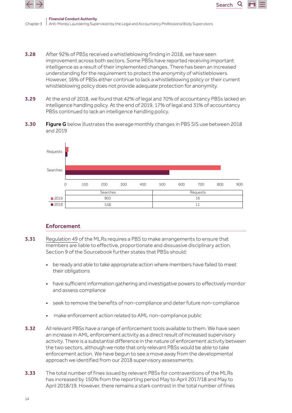

Chapter 3

Search

- 3.28 After 92% of PBSs received a whistleblowing finding in 2018, we have seen improvement across both sectors. Some PBSs have reported receiving important intelligence as a result of their implemented changes. There has been an increased understanding for the requirement to protect the anonymity of whistleblowers. However, 16% of PBSs either continue to lack a whistleblowing policy or their current whistleblowing policy does not provide adequate protection for anonymity.
- 3.29 At the end of 2018, we found that 42% of legal and 70% of accountancy PBSs lacked an intelligence handling policy. At the end of 2019, 17% of legal and 31% of accountancy PBSs continued to lack an intelligence handling policy.
- **3.30 Figure G** below illustrates the average monthly changes in PBS SIS use between 2018 and 2019



#### Enforcement

- 3.31 [Regulation 49](http://www.legislation.gov.uk/uksi/2017/692/pdfs/uksi_20170692_en.pdf#page=56) of the MLRs requires a PBS to make arrangements to ensure that members are liable to effective, proportionate and dissuasive disciplinary action. Section 9 of the Sourcebook further states that PBSs should:
	- be ready and able to take appropriate action where members have failed to meet their obligations
	- have sufficient information gathering and investigative powers to effectively monitor and assess compliance
	- seek to remove the benefits of non-compliance and deter future non-compliance
	- make enforcement action related to AML non-compliance public
- **3.32** All relevant PBSs have a range of enforcement tools available to them. We have seen an increase in AML enforcement activity as a direct result of increased supervisory activity. There is a substantial difference in the nature of enforcement activity between the two sectors, although we note that only relevant PBSs would be able to take enforcement action. We have begun to see a move away from the developmental approach we identified from our 2018 supervisory assessments.
- **3.33** The total number of fines issued by relevant PBSs for contraventions of the MLRs has increased by 150% from the reporting period May to April 2017/18 and May to April 2018/19. However, there remains a stark contrast in the total number of fines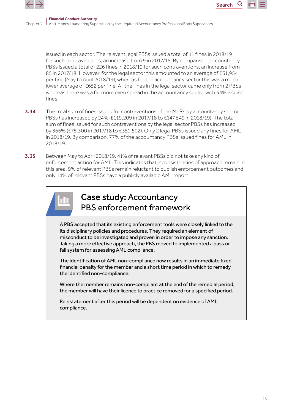

issued in each sector. The relevant legal PBSs issued a total of 11 fines in 2018/19 for such contraventions, an increase from 9 in 2017/18. By comparison, accountancy PBSs issued a total of 226 fines in 2018/19 for such contraventions, an increase from 85 in 2017/18. However, for the legal sector this amounted to an average of £31,954 per fine (May to April 2018/19), whereas for the accountancy sector this was a much lower average of £652 per fine. All the fines in the legal sector came only from 2 PBSs whereas there was a far more even spread in the accountancy sector with 54% issuing fines.

Search

- **3.34** The total sum of fines issued for contraventions of the MLRs by accountancy sector PBSs has increased by 24% (£119,209 in 2017/18 to £147,549 in 2018/19). The total sum of fines issued for such contraventions by the legal sector PBSs has increased by 366% (£75,300 in 2017/18 to £351,502). Only 2 legal PBSs issued any fines for AML in 2018/19. By comparison, 77% of the accountancy PBSs issued fines for AML in 2018/19.
- 3.35 Between May to April 2018/19, 41% of relevant PBSs did not take any kind of enforcement action for AML. This indicates that inconsistencies of approach remain in this area. 9% of relevant PBSs remain reluctant to publish enforcement outcomes and only 14% of relevant PBSs have a publicly available AML report.



### Case study: Accountancy PBS enforcement framework

A PBS accepted that its existing enforcement tools were closely linked to the its disciplinary policies and procedures. They required an element of misconduct to be investigated and proven in order to impose any sanction. Taking a more effective approach, the PBS moved to implemented a pass or fail system for assessing AML compliance.

The identification of AML non-compliance now results in an immediate fixed financial penalty for the member and a short time period in which to remedy the identified non-compliance.

Where the member remains non-compliant at the end of the remedial period, the member will have their licence to practice removed for a specified period.

Reinstatement after this period will be dependent on evidence of AML compliance.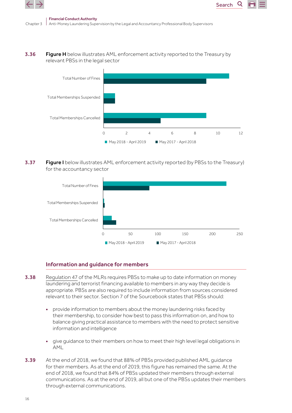



**3.36 Figure H** below illustrates AML enforcement activity reported to the Treasury by relevant PBSs in the legal sector



Search

**3.37 Figure I** below illustrates AML enforcement activity reported (by PBSs to the Treasury) for the accountancy sector



#### Information and guidance for members

- 3.38 [Regulation 47](http://www.legislation.gov.uk/uksi/2017/692/pdfs/uksi_20170692_en.pdf#page=54) of the MLRs reguires PBSs to make up to date information on money laundering and terrorist financing available to members in any way they decide is appropriate. PBSs are also required to include information from sources considered relevant to their sector. Section 7 of the Sourcebook states that PBSs should:
	- provide information to members about the money laundering risks faced by their membership, to consider how best to pass this information on, and how to balance giving practical assistance to members with the need to protect sensitive information and intelligence
	- give guidance to their members on how to meet their high level legal obligations in AML
- 3.39 At the end of 2018, we found that 88% of PBSs provided published AML guidance for their members. As at the end of 2019, this figure has remained the same. At the end of 2018, we found that 84% of PBSs updated their members through external communications. As at the end of 2019, all but one of the PBSs updates their members through external communications.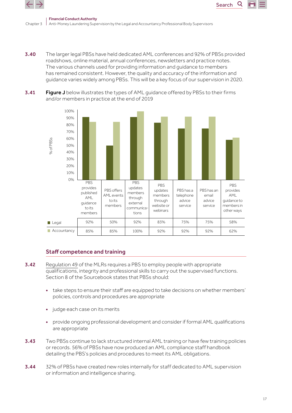



3.40 The larger legal PBSs have held dedicated AML conferences and 92% of PBSs provided roadshows, online material, annual conferences, newsletters and practice notes. The various channels used for providing information and guidance to members has remained consistent. However, the quality and accuracy of the information and guidance varies widely among PBSs. This will be a key focus of our supervision in 2020.





### Staff competence and training

- **3.42** [Regulation 49](http://www.legislation.gov.uk/uksi/2017/692/pdfs/uksi_20170692_en.pdf#page=56) of the MLRs requires a PBS to employ people with appropriate qualifications, integrity and professional skills to carry out the supervised functions. Section 8 of the Sourcebook states that PBSs should:
	- take steps to ensure their staff are equipped to take decisions on whether members' policies, controls and procedures are appropriate
	- judge each case on its merits
	- provide ongoing professional development and consider if formal AML qualifications are appropriate
- **3.43** Two PBSs continue to lack structured internal AML training or have few training policies or records. 56% of PBSs have now produced an AML compliance staff handbook detailing the PBS's policies and procedures to meet its AML obligations.
- 3.44 32% of PBSs have created new roles internally for staff dedicated to AML supervision or information and intelligence sharing.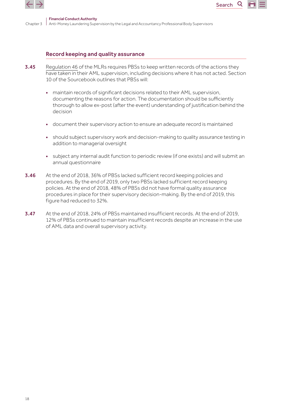

#### Record keeping and quality assurance

- **3.45** [Regulation 46](http://www.legislation.gov.uk/uksi/2017/692/pdfs/uksi_20170692_en.pdf#page=53) of the MLRs requires PBSs to keep written records of the actions they have taken in their AML supervision, including decisions where it has not acted. Section 10 of the Sourcebook outlines that PBSs will:
	- maintain records of significant decisions related to their AML supervision, documenting the reasons for action. The documentation should be sufficiently thorough to allow ex-post (after the event) understanding of justification behind the decision

Search

Q

- document their supervisory action to ensure an adequate record is maintained
- should subject supervisory work and decision-making to quality assurance testing in addition to managerial oversight
- subject any internal audit function to periodic review (if one exists) and will submit an annual questionnaire
- 3.46 At the end of 2018, 36% of PBSs lacked sufficient record keeping policies and procedures. By the end of 2019, only two PBSs lacked sufficient record keeping policies. At the end of 2018, 48% of PBSs did not have formal quality assurance procedures in place for their supervisory decision-making. By the end of 2019, this figure had reduced to 32%.
- 3.47 At the end of 2018, 24% of PBSs maintained insufficient records. At the end of 2019, 12% of PBSs continued to maintain insufficient records despite an increase in the use of AML data and overall supervisory activity.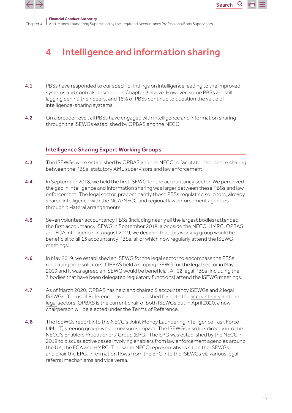<span id="page-18-0"></span>



Chanter 4 Financial Conduct Authority Anti-Money Laundering Supervision by the Legal and Accountancy Professional Body Supervisors

# 4 Intelligence and information sharing

- **4.1** PBSs have responded to our specific findings on intelligence leading to the improved systems and controls described in Chapter 3 above. However, some PBSs are still lagging behind their peers, and 16% of PBSs continue to question the value of intelligence-sharing systems.
- **4.2** On a broader level, all PBSs have engaged with intelligence and information sharing through the ISEWGs established by OPBAS and the NECC.

#### Intelligence Sharing Expert Working Groups

- 4.3 The ISEWGs were established by OPBAS and the NECC to facilitate intelligence sharing between the PBSs, statutory AML supervisors and law enforcement.
- **4.4** In September 2018, we held the first ISEWG for the accountancy sector. We perceived the gap in intelligence and information sharing was larger between these PBSs and law enforcement. The legal sector, predominantly those PBSs regulating solicitors, already shared intelligence with the NCA/NECC and regional law enforcement agencies through bi-lateral arrangements.
- **4.5** Seven volunteer accountancy PBSs (including nearly all the largest bodies) attended the first accountancy ISEWG in September 2018, alongside the NECC, HMRC, OPBAS and FCA Intelligence. In August 2019, we decided that this working group would be beneficial to all 13 accountancy PBSs, all of which now regularly attend the ISEWG meetings.
- 4.6 In May 2019, we established an ISEWG for the legal sector to encompass the PBSs regulating non-solicitors. OPBAS held a scoping ISEWG for the legal sector in May 2019 and it was agreed an ISEWG would be beneficial. All 12 legal PBSs (including the 3 bodies that have been delegated regulatory functions) attend the ISEWG meetings.
- 4.7 As of March 2020, OPBAS has held and chaired 5 accountancy ISEWGs and 2 legal ISEWGs. Terms of Reference have been published for both the [accountancy](https://www.fca.org.uk/publication/opbas/accountancy-sector-isewg-terms-of-reference.pdf) and the [legal](https://www.fca.org.uk/publication/opbas/legal-sector-intelligence-sharing-expert-working-group-terms-of-reference.pdf) sectors. OPBAS is the current chair of both ISEWGs but in April 2020, a new chairperson will be elected under the Terms of Reference.
- 4.8 The ISEWGs report into the NECC's Joint Money Laundering Intelligence Task Force (JMLIT) steering group, which measures impact. The ISEWGs also link directly into the NECC's Enablers Practitioners' Group (EPG). The EPG was established by the NECC in 2019 to discuss active cases involving enablers from law enforcement agencies around the UK, the FCA and HMRC. The same NECC representatives sit on the ISEWGs and chair the EPG. Information flows from the EPG into the ISEWGs via various legal referral mechanisms and vice versa.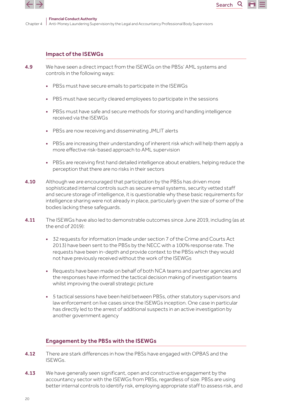

Q

#### Impact of the ISEWGs

- 4.9 We have seen a direct impact from the ISEWGs on the PBSs' AML systems and controls in the following ways:
	- PBSs must have secure emails to participate in the ISEWGs
	- PBS must have security cleared employees to participate in the sessions
	- PBSs must have safe and secure methods for storing and handling intelligence received via the ISEWGs
	- PBSs are now receiving and disseminating JMLIT alerts
	- PBSs are increasing their understanding of inherent risk which will help them apply a more effective risk-based approach to AML supervision
	- PBSs are receiving first hand detailed intelligence about enablers, helping reduce the perception that there are no risks in their sectors
- **4.10** Although we are encouraged that participation by the PBSs has driven more sophisticated internal controls such as secure email systems, security vetted staff and secure storage of intelligence, it is questionable why these basic requirements for intelligence sharing were not already in place, particularly given the size of some of the bodies lacking these safeguards.
- 4.11 The ISEWGs have also led to demonstrable outcomes since June 2019, including (as at the end of  $2019$ 
	- 32 requests for information (made under section 7 of the Crime and Courts Act 2013) have been sent to the PBSs by the NECC with a 100% response rate. The requests have been in-depth and provide context to the PBSs which they would not have previously received without the work of the ISEWGs
	- Requests have been made on behalf of both NCA teams and partner agencies and the responses have informed the tactical decision making of investigation teams whilst improving the overall strategic picture
	- 5 tactical sessions have been held between PBSs, other statutory supervisors and law enforcement on live cases since the ISEWGs inception. One case in particular has directly led to the arrest of additional suspects in an active investigation by another government agency

#### Engagement by the PBSs with the ISEWGs

- **4.12** There are stark differences in how the PBSs have engaged with OPBAS and the ISEWGs.
- **4.13** We have generally seen significant, open and constructive engagement by the accountancy sector with the ISEWGs from PBSs, regardless of size. PBSs are using better internal controls to identify risk, employing appropriate staff to assess risk, and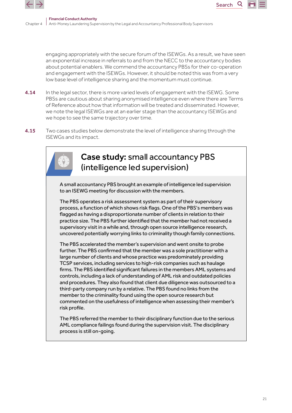

engaging appropriately with the secure forum of the ISEWGs. As a result, we have seen an exponential increase in referrals to and from the NECC to the accountancy bodies about potential enablers. We commend the accountancy PBSs for their co-operation and engagement with the ISEWGs. However, it should be noted this was from a very low base level of intelligence sharing and the momentum must continue.

**Search** 

- **4.14** In the legal sector, there is more varied levels of engagement with the ISEWG. Some PBSs are cautious about sharing anonymised intelligence even where there are Terms of Reference about how that information will be treated and disseminated. However, we note the legal ISEWGs are at an earlier stage than the accountancy ISEWGs and we hope to see the same trajectory over time.
- **4.15** Two cases studies below demonstrate the level of intelligence sharing through the ISEWGs and its impact.



### Case study: small accountancy PBS (intelligence led supervision)

A small accountancy PBS brought an example of intelligence led supervision to an ISEWG meeting for discussion with the members.

The PBS operates a risk assessment system as part of their supervisory process, a function of which shows risk flags. One of the PBS's members was flagged as having a disproportionate number of clients in relation to their practice size. The PBS further identified that the member had not received a supervisory visit in a while and, through open source intelligence research, uncovered potentially worrying links to criminality though family connections.

The PBS accelerated the member's supervision and went onsite to probe further. The PBS confirmed that the member was a sole practitioner with a large number of clients and whose practice was predominately providing TCSP services, including services to high-risk companies such as haulage firms. The PBS identified significant failures in the members AML systems and controls, including a lack of understanding of AML risk and outdated policies and procedures. They also found that client due diligence was outsourced to a third-party company run by a relative. The PBS found no links from the member to the criminality found using the open source research but commented on the usefulness of intelligence when assessing their member's risk profile.

The PBS referred the member to their disciplinary function due to the serious AML compliance failings found during the supervision visit. The disciplinary process is still on-going.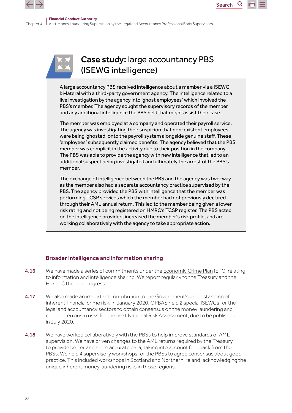





### Broader intelligence and information sharing

- **4.16** We have made a series of commitments under the [Economic Crime Plan](https://assets.publishing.service.gov.uk/government/uploads/system/uploads/attachment_data/file/816215/2019-22_Economic_Crime_Plan.pdf) (EPC) relating to information and intelligence sharing. We report regularly to the Treasury and the Home Office on progress.
- 4.17 We also made an important contribution to the Government's understanding of inherent financial crime risk. In January 2020, OPBAS held 2 special ISEWGs for the legal and accountancy sectors to obtain consensus on the money laundering and counter terrorism risks for the next National Risk Assessment, due to be published in July 2020.
- 4.18 We have worked collaboratively with the PBSs to help improve standards of AML supervision. We have driven changes to the AML returns required by the Treasury to provide better and more accurate data, taking into account feedback from the PBSs. We held 4 supervisory workshops for the PBSs to agree consensus about good practice. This included workshops in Scotland and Northern Ireland, acknowledging the unique inherent money laundering risks in those regions.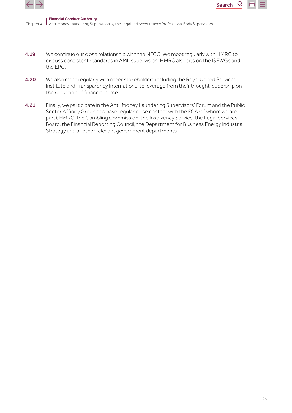



 $\mathsf Q$ 

- 4.19 We continue our close relationship with the NECC. We meet regularly with HMRC to discuss consistent standards in AML supervision. HMRC also sits on the ISEWGs and the EPG.
- 4.20 We also meet regularly with other stakeholders including the Royal United Services Institute and Transparency International to leverage from their thought leadership on the reduction of financial crime.
- 4.21 Finally, we participate in the Anti-Money Laundering Supervisors' Forum and the Public Sector Affinity Group and have regular close contact with the FCA (of whom we are part), HMRC, the Gambling Commission, the Insolvency Service, the Legal Services Board, the Financial Reporting Council, the Department for Business Energy Industrial Strategy and all other relevant government departments.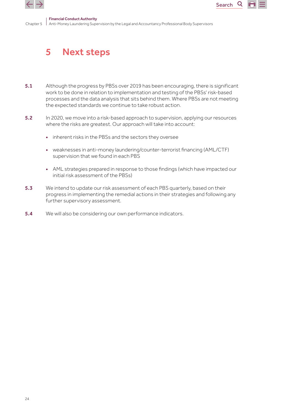<span id="page-23-0"></span>



Chapter 5 Financial Conduct Authority Anti-Money Laundering Supervision by the Legal and Accountancy Professional Body Supervisors

## 5 Next steps

- 5.1 Although the progress by PBSs over 2019 has been encouraging, there is significant work to be done in relation to implementation and testing of the PBSs' risk-based processes and the data analysis that sits behind them. Where PBSs are not meeting the expected standards we continue to take robust action.
- **5.2** In 2020, we move into a risk-based approach to supervision, applying our resources where the risks are greatest. Our approach will take into account:
	- inherent risks in the PBSs and the sectors they oversee
	- weaknesses in anti-money laundering/counter-terrorist financing (AML/CTF) supervision that we found in each PBS
	- AML strategies prepared in response to those findings (which have impacted our initial risk assessment of the PBSs)
- 5.3 We intend to update our risk assessment of each PBS quarterly, based on their progress in implementing the remedial actions in their strategies and following any further supervisory assessment.
- **5.4** We will also be considering our own performance indicators.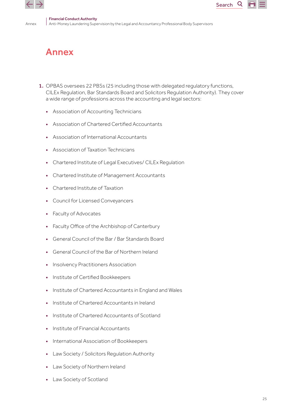<span id="page-24-0"></span>

Annex

Search

Q

# Annex

- 1. OPBAS oversees 22 PBSs (25 including those with delegated regulatory functions, CILEx Regulation, Bar Standards Board and Solicitors Regulation Authority). They cover a wide range of professions across the accounting and legal sectors:
	- Association of Accounting Technicians
	- Association of Chartered Certified Accountants
	- Association of International Accountants
	- Association of Taxation Technicians
	- Chartered Institute of Legal Executives/ CILEx Regulation
	- Chartered Institute of Management Accountants
	- Chartered Institute of Taxation
	- Council for Licensed Conveyancers
	- Faculty of Advocates
	- Faculty Office of the Archbishop of Canterbury
	- General Council of the Bar / Bar Standards Board
	- General Council of the Bar of Northern Ireland
	- Insolvency Practitioners Association
	- Institute of Certified Bookkeepers
	- Institute of Chartered Accountants in England and Wales
	- Institute of Chartered Accountants in Ireland
	- Institute of Chartered Accountants of Scotland
	- Institute of Financial Accountants
	- International Association of Bookkeepers
	- Law Society / Solicitors Regulation Authority
	- Law Society of Northern Ireland
	- Law Society of Scotland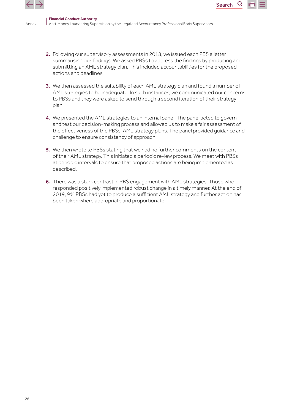

Annex

2. Following our supervisory assessments in 2018, we issued each PBS a letter summarising our findings. We asked PBSs to address the findings by producing and submitting an AML strategy plan. This included accountabilities for the proposed actions and deadlines.

**Search** 

- 3. We then assessed the suitability of each AML strategy plan and found a number of AML strategies to be inadequate. In such instances, we communicated our concerns to PBSs and they were asked to send through a second iteration of their strategy plan.
- 4. We presented the AML strategies to an internal panel. The panel acted to govern and test our decision-making process and allowed us to make a fair assessment of the effectiveness of the PBSs' AML strategy plans. The panel provided guidance and challenge to ensure consistency of approach.
- 5. We then wrote to PBSs stating that we had no further comments on the content of their AML strategy. This initiated a periodic review process. We meet with PBSs at periodic intervals to ensure that proposed actions are being implemented as described.
- 6. There was a stark contrast in PBS engagement with AML strategies. Those who responded positively implemented robust change in a timely manner. At the end of 2019, 9% PBSs had yet to produce a sufficient AML strategy and further action has been taken where appropriate and proportionate.